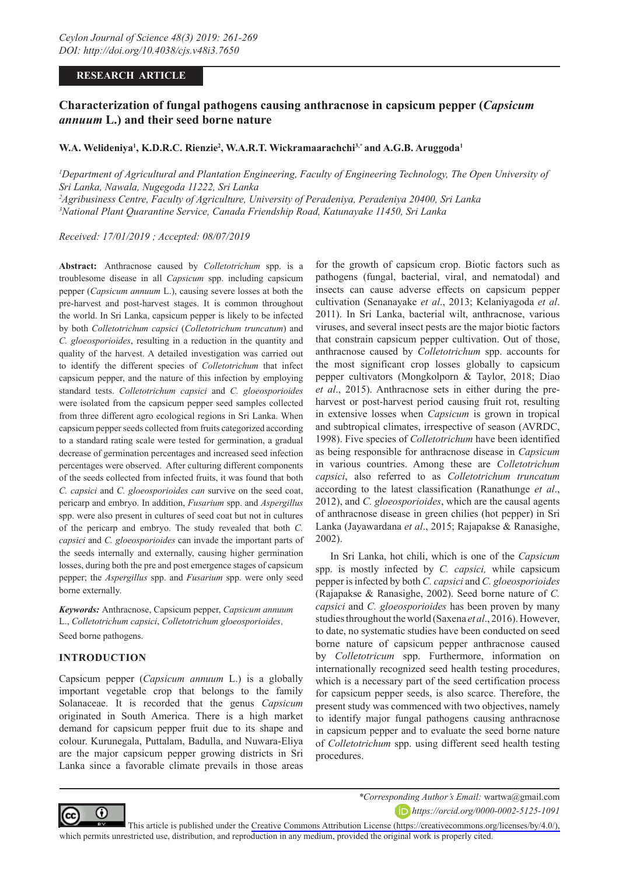## **RESEARCH ARTICLE**

# **Characterization of fungal pathogens causing anthracnose in capsicum pepper (***Capsicum annuum* **L.) and their seed borne nature**

### **W.A. Welideniya1 , K.D.R.C. Rienzie2 , W.A.R.T. Wickramaarachchi3,\* and A.G.B. Aruggoda1**

*1 Department of Agricultural and Plantation Engineering, Faculty of Engineering Technology, The Open University of Sri Lanka, Nawala, Nugegoda 11222, Sri Lanka 2 Agribusiness Centre, Faculty of Agriculture, University of Peradeniya, Peradeniya 20400, Sri Lanka*

*3 National Plant Quarantine Service, Canada Friendship Road, Katunayake 11450, Sri Lanka*

*Received: 17/01/2019 ; Accepted: 08/07/2019*

**Abstract:** Anthracnose caused by *Colletotrichum* spp. is a troublesome disease in all *Capsicum* spp. including capsicum pepper (*Capsicum annuum* L.), causing severe losses at both the pre-harvest and post-harvest stages. It is common throughout the world. In Sri Lanka, capsicum pepper is likely to be infected by both *Colletotrichum capsici* (*Colletotrichum truncatum*) and *C. gloeosporioides*, resulting in a reduction in the quantity and quality of the harvest. A detailed investigation was carried out to identify the different species of *Colletotrichum* that infect capsicum pepper, and the nature of this infection by employing standard tests. *Colletotrichum capsici* and *C. gloeosporioides*  were isolated from the capsicum pepper seed samples collected from three different agro ecological regions in Sri Lanka. When capsicum pepper seeds collected from fruits categorized according to a standard rating scale were tested for germination, a gradual decrease of germination percentages and increased seed infection percentages were observed. After culturing different components of the seeds collected from infected fruits, it was found that both *C. capsici* and *C. gloeosporioides can* survive on the seed coat, pericarp and embryo. In addition, *Fusarium* spp. and *Aspergillus*  spp. were also present in cultures of seed coat but not in cultures of the pericarp and embryo. The study revealed that both *C. capsici* and *C. gloeosporioides* can invade the important parts of the seeds internally and externally, causing higher germination losses, during both the pre and post emergence stages of capsicum pepper; the *Aspergillus* spp. and *Fusarium* spp. were only seed borne externally.

*Keywords:* Anthracnose, Capsicum pepper, *Capsicum annuum* L., *Colletotrichum capsici*, *Colletotrichum gloeosporioides*, Seed borne pathogens.

#### **INTRODUCTION**

Capsicum pepper (*Capsicum annuum* L.) is a globally important vegetable crop that belongs to the family Solanaceae. It is recorded that the genus *Capsicum* originated in South America. There is a high market demand for capsicum pepper fruit due to its shape and colour. Kurunegala, Puttalam, Badulla, and Nuwara-Eliya are the major capsicum pepper growing districts in Sri Lanka since a favorable climate prevails in those areas

for the growth of capsicum crop. Biotic factors such as pathogens (fungal, bacterial, viral, and nematodal) and insects can cause adverse effects on capsicum pepper cultivation (Senanayake *et al*., 2013; Kelaniyagoda *et al*. 2011). In Sri Lanka, bacterial wilt, anthracnose, various viruses, and several insect pests are the major biotic factors that constrain capsicum pepper cultivation. Out of those, anthracnose caused by *Colletotrichum* spp. accounts for the most significant crop losses globally to capsicum pepper cultivators (Mongkolporn & Taylor, 2018; Diao *et al*., 2015). Anthracnose sets in either during the preharvest or post-harvest period causing fruit rot, resulting in extensive losses when *Capsicum* is grown in tropical and subtropical climates, irrespective of season (AVRDC, 1998). Five species of *Colletotrichum* have been identified as being responsible for anthracnose disease in *Capsicum* in various countries. Among these are *Colletotrichum capsici*, also referred to as *Colletotrichum truncatum* according to the latest classification (Ranathunge *et al*., 2012), and *C. gloeosporioides*, which are the causal agents of anthracnose disease in green chilies (hot pepper) in Sri Lanka (Jayawardana *et al*., 2015; Rajapakse & Ranasighe, 2002).

In Sri Lanka, hot chili, which is one of the *Capsicum* spp. is mostly infected by *C. capsici,* while capsicum pepper is infected by both *C. capsici* and *C. gloeosporioides* (Rajapakse & Ranasighe, 2002). Seed borne nature of *C. capsici* and *C. gloeosporioides* has been proven by many studies throughout the world (Saxena *et al*., 2016). However, to date, no systematic studies have been conducted on seed borne nature of capsicum pepper anthracnose caused by *Colletotricum* spp. Furthermore, information on internationally recognized seed health testing procedures, which is a necessary part of the seed certification process for capsicum pepper seeds, is also scarce. Therefore, the present study was commenced with two objectives, namely to identify major fungal pathogens causing anthracnose in capsicum pepper and to evaluate the seed borne nature of *Colletotrichum* spp. using different seed health testing procedures.



*\*Corresponding Author's Email:* wartwa@gmail.com *https://orcid.org/0000-0002-5125-1091*

This article is published under the [Creative Commons Attribution License \(https://creativecommons.org/licenses/by/4.0/\),](https://creativecommons.org/licenses/by/4.0/)  which permits unrestricted use, distribution, and reproduction in any medium, provided the original work is properly cited.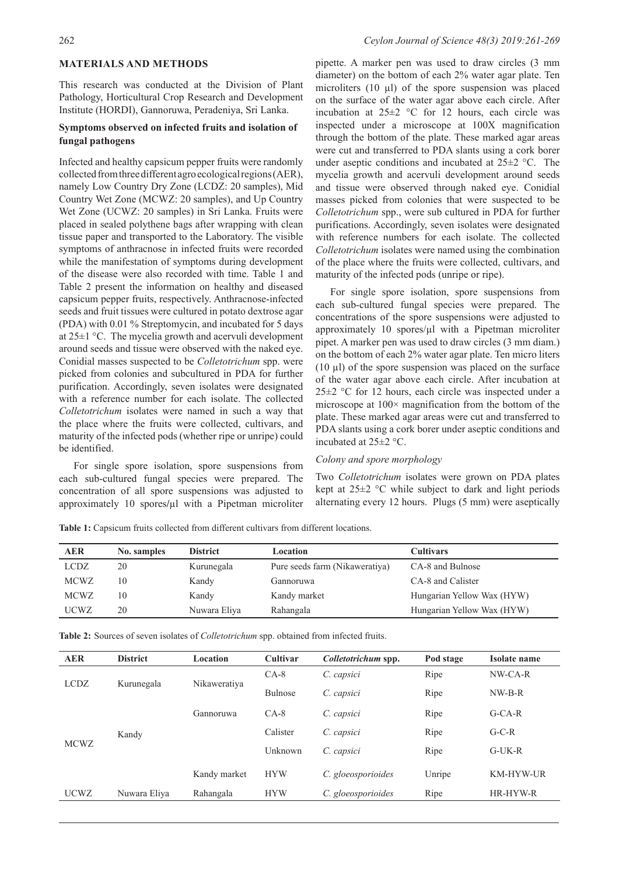## **MATERIALS AND METHODS**

This research was conducted at the Division of Plant Pathology, Horticultural Crop Research and Development Institute (HORDI), Gannoruwa, Peradeniya, Sri Lanka.

## **Symptoms observed on infected fruits and isolation of fungal pathogens**

Infected and healthy capsicum pepper fruits were randomly collected from three different agro ecological regions (AER), namely Low Country Dry Zone (LCDZ: 20 samples), Mid Country Wet Zone (MCWZ: 20 samples), and Up Country Wet Zone (UCWZ: 20 samples) in Sri Lanka. Fruits were placed in sealed polythene bags after wrapping with clean tissue paper and transported to the Laboratory. The visible symptoms of anthracnose in infected fruits were recorded while the manifestation of symptoms during development of the disease were also recorded with time. Table 1 and Table 2 present the information on healthy and diseased capsicum pepper fruits, respectively. Anthracnose-infected seeds and fruit tissues were cultured in potato dextrose agar (PDA) with 0.01 % Streptomycin, and incubated for 5 days at 25±1 °C. The mycelia growth and acervuli development around seeds and tissue were observed with the naked eye. Conidial masses suspected to be *Colletotrichum* spp. were picked from colonies and subcultured in PDA for further purification. Accordingly, seven isolates were designated with a reference number for each isolate. The collected *Colletotrichum* isolates were named in such a way that the place where the fruits were collected, cultivars, and maturity of the infected pods (whether ripe or unripe) could be identified.

For single spore isolation, spore suspensions from each sub-cultured fungal species were prepared. The concentration of all spore suspensions was adjusted to approximately 10 spores**/**µl with a Pipetman microliter

pipette. A marker pen was used to draw circles (3 mm diameter) on the bottom of each 2% water agar plate. Ten microliters  $(10 \mu l)$  of the spore suspension was placed on the surface of the water agar above each circle. After incubation at  $25\pm2$  °C for 12 hours, each circle was inspected under a microscope at 100X magnification through the bottom of the plate. These marked agar areas were cut and transferred to PDA slants using a cork borer under aseptic conditions and incubated at  $25\pm2$  °C. The mycelia growth and acervuli development around seeds and tissue were observed through naked eye. Conidial masses picked from colonies that were suspected to be *Colletotrichum* spp., were sub cultured in PDA for further purifications. Accordingly, seven isolates were designated with reference numbers for each isolate. The collected *Colletotrichum* isolates were named using the combination of the place where the fruits were collected, cultivars, and maturity of the infected pods (unripe or ripe).

For single spore isolation, spore suspensions from each sub-cultured fungal species were prepared. The concentrations of the spore suspensions were adjusted to approximately 10 spores/ul with a Pipetman microliter pipet. A marker pen was used to draw circles (3 mm diam.) on the bottom of each 2% water agar plate. Ten micro liters  $(10 \mu l)$  of the spore suspension was placed on the surface of the water agar above each circle. After incubation at 25±2 °C for 12 hours, each circle was inspected under a microscope at  $100 \times$  magnification from the bottom of the plate. These marked agar areas were cut and transferred to PDA slants using a cork borer under aseptic conditions and incubated at 25±2 °C.

#### *Colony and spore morphology*

Two *Colletotrichum* isolates were grown on PDA plates kept at  $25\pm2$  °C while subject to dark and light periods alternating every 12 hours. Plugs (5 mm) were aseptically

| AER         | No. samples | <b>District</b> | Location                       | <b>Cultivars</b>           |
|-------------|-------------|-----------------|--------------------------------|----------------------------|
| LCDZ        | 20          | Kurunegala      | Pure seeds farm (Nikaweratiya) | CA-8 and Bulnose           |
| <b>MCWZ</b> | 10          | Kandy           | Gannoruwa                      | CA-8 and Calister          |
| <b>MCWZ</b> | 10          | Kandy           | Kandy market                   | Hungarian Yellow Wax (HYW) |
| UCWZ        | 20          | Nuwara Eliya    | Rahangala                      | Hungarian Yellow Wax (HYW) |

Table 1: Capsicum fruits collected from different cultivars from different locations.

**Table 2:** Sources of seven isolates of *Colletotrichum* spp. obtained from infected fruits.

| <b>AER</b>  | <b>District</b> | Location     | <b>Cultivar</b> | Colletotrichum spp. | Pod stage | Isolate name     |
|-------------|-----------------|--------------|-----------------|---------------------|-----------|------------------|
| <b>LCDZ</b> | Kurunegala      | Nikaweratiya | $CA-8$          | C. capsici          | Ripe      | NW-CA-R          |
|             |                 |              | <b>Bulnose</b>  | C. capsici          | Ripe      | $NW-B-R$         |
| <b>MCWZ</b> | Kandy           | Gannoruwa    | $CA-8$          | C. capsici          | Ripe      | $G-CA-R$         |
|             |                 |              | Calister        | C. capsici          | Ripe      | $G-C-R$          |
|             |                 |              | Unknown         | C. capsici          | Ripe      | $G$ -UK-R        |
|             |                 | Kandy market | <b>HYW</b>      | C. gloeosporioides  | Unripe    | <b>KM-HYW-UR</b> |
| <b>UCWZ</b> | Nuwara Eliya    | Rahangala    | <b>HYW</b>      | C. gloeosporioides  | Ripe      | HR-HYW-R         |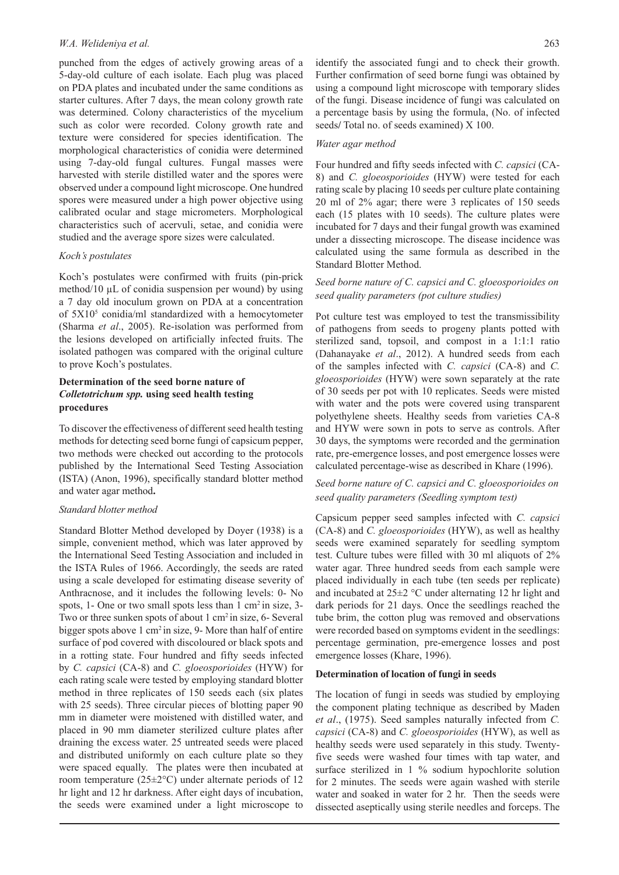#### *W.A. Welideniya et al.* 263

punched from the edges of actively growing areas of a 5-day-old culture of each isolate. Each plug was placed on PDA plates and incubated under the same conditions as starter cultures. After 7 days, the mean colony growth rate was determined. Colony characteristics of the mycelium such as color were recorded. Colony growth rate and texture were considered for species identification. The morphological characteristics of conidia were determined using 7-day-old fungal cultures. Fungal masses were harvested with sterile distilled water and the spores were observed under a compound light microscope. One hundred spores were measured under a high power objective using calibrated ocular and stage micrometers. Morphological characteristics such of acervuli, setae, and conidia were studied and the average spore sizes were calculated.

### *Koch's postulates*

Koch's postulates were confirmed with fruits (pin-prick method/10  $\mu$ L of conidia suspension per wound) by using a 7 day old inoculum grown on PDA at a concentration of 5X105 conidia/ml standardized with a hemocytometer (Sharma *et al*., 2005). Re-isolation was performed from the lesions developed on artificially infected fruits. The isolated pathogen was compared with the original culture to prove Koch's postulates.

# **Determination of the seed borne nature of**  *Colletotrichum spp.* **using seed health testing procedures**

To discover the effectiveness of different seed health testing methods for detecting seed borne fungi of capsicum pepper, two methods were checked out according to the protocols published by the International Seed Testing Association (ISTA) (Anon, 1996), specifically standard blotter method and water agar method**.**

#### *Standard blotter method*

Standard Blotter Method developed by Doyer (1938) is a simple, convenient method, which was later approved by the International Seed Testing Association and included in the ISTA Rules of 1966. Accordingly, the seeds are rated using a scale developed for estimating disease severity of Anthracnose, and it includes the following levels: 0- No spots, 1- One or two small spots less than 1 cm<sup>2</sup> in size, 3-Two or three sunken spots of about  $1 \text{ cm}^2$  in size, 6- Several bigger spots above 1 cm<sup>2</sup> in size, 9- More than half of entire surface of pod covered with discoloured or black spots and in a rotting state. Four hundred and fifty seeds infected by *C. capsici* (CA-8) and *C. gloeosporioides* (HYW) for each rating scale were tested by employing standard blotter method in three replicates of 150 seeds each (six plates with 25 seeds). Three circular pieces of blotting paper 90 mm in diameter were moistened with distilled water, and placed in 90 mm diameter sterilized culture plates after draining the excess water. 25 untreated seeds were placed and distributed uniformly on each culture plate so they were spaced equally. The plates were then incubated at room temperature (25±2°C) under alternate periods of 12 hr light and 12 hr darkness. After eight days of incubation, the seeds were examined under a light microscope to

identify the associated fungi and to check their growth. Further confirmation of seed borne fungi was obtained by using a compound light microscope with temporary slides of the fungi. Disease incidence of fungi was calculated on a percentage basis by using the formula, (No. of infected seeds**/** Total no. of seeds examined) X 100.

#### *Water agar method*

Four hundred and fifty seeds infected with *C. capsici* (CA-8) and *C. gloeosporioides* (HYW) were tested for each rating scale by placing 10 seeds per culture plate containing 20 ml of 2% agar; there were 3 replicates of 150 seeds each (15 plates with 10 seeds). The culture plates were incubated for 7 days and their fungal growth was examined under a dissecting microscope. The disease incidence was calculated using the same formula as described in the Standard Blotter Method.

# *Seed borne nature of C. capsici and C. gloeosporioides on seed quality parameters (pot culture studies)*

Pot culture test was employed to test the transmissibility of pathogens from seeds to progeny plants potted with sterilized sand, topsoil, and compost in a 1:1:1 ratio (Dahanayake *et al*., 2012). A hundred seeds from each of the samples infected with *C. capsici* (CA-8) and *C. gloeosporioides* (HYW) were sown separately at the rate of 30 seeds per pot with 10 replicates. Seeds were misted with water and the pots were covered using transparent polyethylene sheets. Healthy seeds from varieties CA-8 and HYW were sown in pots to serve as controls. After 30 days, the symptoms were recorded and the germination rate, pre-emergence losses, and post emergence losses were calculated percentage-wise as described in Khare (1996).

# *Seed borne nature of C. capsici and C. gloeosporioides on seed quality parameters (Seedling symptom test)*

Capsicum pepper seed samples infected with *C. capsici*  (CA-8) and *C. gloeosporioides* (HYW), as well as healthy seeds were examined separately for seedling symptom test. Culture tubes were filled with 30 ml aliquots of 2% water agar. Three hundred seeds from each sample were placed individually in each tube (ten seeds per replicate) and incubated at 25±2 °C under alternating 12 hr light and dark periods for 21 days. Once the seedlings reached the tube brim, the cotton plug was removed and observations were recorded based on symptoms evident in the seedlings: percentage germination, pre-emergence losses and post emergence losses (Khare, 1996).

#### **Determination of location of fungi in seeds**

The location of fungi in seeds was studied by employing the component plating technique as described by Maden *et al*., (1975). Seed samples naturally infected from *C. capsici* (CA-8) and *C. gloeosporioides* (HYW), as well as healthy seeds were used separately in this study. Twentyfive seeds were washed four times with tap water, and surface sterilized in 1 % sodium hypochlorite solution for 2 minutes. The seeds were again washed with sterile water and soaked in water for 2 hr. Then the seeds were dissected aseptically using sterile needles and forceps. The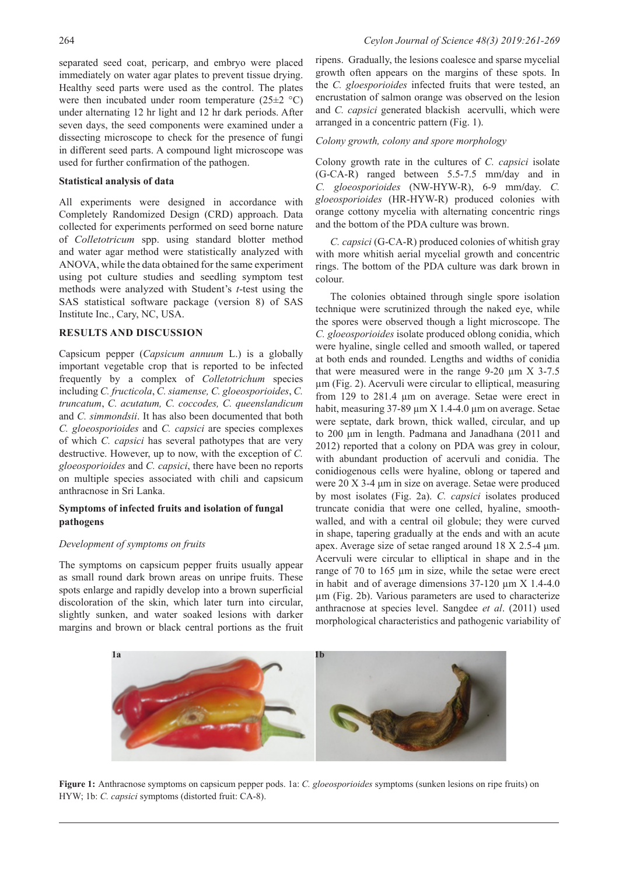separated seed coat, pericarp, and embryo were placed immediately on water agar plates to prevent tissue drying. Healthy seed parts were used as the control. The plates were then incubated under room temperature  $(25\pm2~^{\circ}\mathrm{C})$ under alternating 12 hr light and 12 hr dark periods. After seven days, the seed components were examined under a dissecting microscope to check for the presence of fungi in different seed parts. A compound light microscope was used for further confirmation of the pathogen.

#### **Statistical analysis of data**

All experiments were designed in accordance with Completely Randomized Design (CRD) approach. Data collected for experiments performed on seed borne nature of *Colletotricum* spp. using standard blotter method and water agar method were statistically analyzed with ANOVA, while the data obtained for the same experiment using pot culture studies and seedling symptom test methods were analyzed with Student's *t*-test using the SAS statistical software package (version 8) of SAS Institute Inc., Cary, NC, USA.

#### **RESULTS AND DISCUSSION**

Capsicum pepper (*Capsicum annuum* L.) is a globally important vegetable crop that is reported to be infected frequently by a complex of *Colletotrichum* species including *C. fructicola*, *C. siamense, C. gloeosporioides*, *C. truncatum*, *C. acutatum, C. coccodes, C. queenslandicum* and *C. simmondsii*. It has also been documented that both *C. gloeosporioides* and *C. capsici* are species complexes of which *C. capsici* has several pathotypes that are very destructive. However, up to now, with the exception of *C. gloeosporioides* and *C. capsici*, there have been no reports on multiple species associated with chili and capsicum anthracnose in Sri Lanka.

# **Symptoms of infected fruits and isolation of fungal pathogens**

## *Development of symptoms on fruits*

The symptoms on capsicum pepper fruits usually appear as small round dark brown areas on unripe fruits. These spots enlarge and rapidly develop into a brown superficial discoloration of the skin, which later turn into circular, slightly sunken, and water soaked lesions with darker margins and brown or black central portions as the fruit ripens. Gradually, the lesions coalesce and sparse mycelial growth often appears on the margins of these spots. In the *C. gloesporioides* infected fruits that were tested, an encrustation of salmon orange was observed on the lesion and *C. capsici* generated blackish acervulli, which were arranged in a concentric pattern (Fig. 1).

#### *Colony growth, colony and spore morphology*

Colony growth rate in the cultures of *C. capsici* isolate (G-CA-R) ranged between 5.5-7.5 mm**/**day and in *C. gloeosporioides* (NW-HYW-R), 6-9 mm**/**day. *C. gloeosporioides* (HR-HYW-R) produced colonies with orange cottony mycelia with alternating concentric rings and the bottom of the PDA culture was brown.

*C. capsici* (G-CA-R) produced colonies of whitish gray with more whitish aerial mycelial growth and concentric rings. The bottom of the PDA culture was dark brown in colour.

The colonies obtained through single spore isolation technique were scrutinized through the naked eye, while the spores were observed though a light microscope. The *C. gloeosporioides* isolate produced oblong conidia, which were hyaline, single celled and smooth walled, or tapered at both ends and rounded. Lengths and widths of conidia that were measured were in the range  $9-20 \mu m X 3-7.5$ µm (Fig. 2). Acervuli were circular to elliptical, measuring from 129 to 281.4 µm on average. Setae were erect in habit, measuring  $37-89 \mu m \times 1.4-4.0 \mu m$  on average. Setae were septate, dark brown, thick walled, circular, and up to 200 μm in length. Padmana and Janadhana (2011 and 2012) reported that a colony on PDA was grey in colour, with abundant production of acervuli and conidia. The conidiogenous cells were hyaline, oblong or tapered and were 20 X 3-4 μm in size on average. Setae were produced by most isolates (Fig. 2a). *C. capsici* isolates produced truncate conidia that were one celled, hyaline, smoothwalled, and with a central oil globule; they were curved in shape, tapering gradually at the ends and with an acute apex. Average size of setae ranged around 18 X 2.5-4 μm. Acervuli were circular to elliptical in shape and in the range of 70 to 165 µm in size, while the setae were erect in habit and of average dimensions 37-120 µm X 1.4-4.0 µm (Fig. 2b). Various parameters are used to characterize anthracnose at species level. Sangdee *et al*. (2011) used morphological characteristics and pathogenic variability of



**Figure 1:** Anthracnose symptoms on capsicum pepper pods. 1a: *C. gloeosporioides* symptoms (sunken lesions on ripe fruits) on HYW; 1b: *C. capsici* symptoms (distorted fruit: CA-8).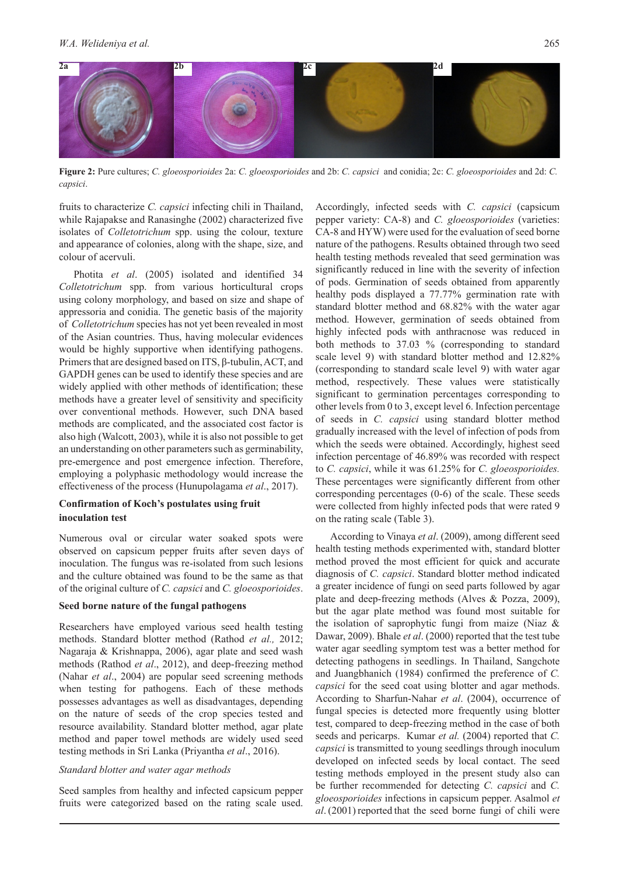

**Figure 2:** Pure cultures; *C. gloeosporioides* 2a: *C. gloeosporioides* and 2b: *C. capsici* and conidia; 2c: *C. gloeosporioides* and 2d: *C. capsici*.

fruits to characterize *C. capsici* infecting chili in Thailand, while Rajapakse and Ranasinghe (2002) characterized five isolates of *Colletotrichum* spp. using the colour, texture and appearance of colonies, along with the shape, size, and colour of acervuli.

Photita *et al*. (2005) isolated and identified 34 *Colletotrichum* spp. from various horticultural crops using colony morphology, and based on size and shape of appressoria and conidia. The genetic basis of the majority of *Colletotrichum* species has not yet been revealed in most of the Asian countries. Thus, having molecular evidences would be highly supportive when identifying pathogens. Primers that are designed based on ITS, β-tubulin, ACT, and GAPDH genes can be used to identify these species and are widely applied with other methods of identification; these methods have a greater level of sensitivity and specificity over conventional methods. However, such DNA based methods are complicated, and the associated cost factor is also high (Walcott, 2003), while it is also not possible to get an understanding on other parameters such as germinability, pre-emergence and post emergence infection. Therefore, employing a polyphasic methodology would increase the effectiveness of the process (Hunupolagama *et al*., 2017).

# **Confirmation of Koch's postulates using fruit inoculation test**

Numerous oval or circular water soaked spots were observed on capsicum pepper fruits after seven days of inoculation. The fungus was re-isolated from such lesions and the culture obtained was found to be the same as that of the original culture of *C. capsici* and *C. gloeosporioides*.

#### **Seed borne nature of the fungal pathogens**

Researchers have employed various seed health testing methods. Standard blotter method (Rathod *et al.,* 2012; Nagaraja & Krishnappa, 2006), agar plate and seed wash methods (Rathod *et al*., 2012), and deep-freezing method (Nahar *et al*., 2004) are popular seed screening methods when testing for pathogens. Each of these methods possesses advantages as well as disadvantages, depending on the nature of seeds of the crop species tested and resource availability. Standard blotter method, agar plate method and paper towel methods are widely used seed testing methods in Sri Lanka (Priyantha *et al*., 2016).

#### *Standard blotter and water agar methods*

Seed samples from healthy and infected capsicum pepper fruits were categorized based on the rating scale used. Accordingly, infected seeds with *C. capsici* (capsicum pepper variety: CA-8) and *C. gloeosporioides* (varieties: CA-8 and HYW) were used for the evaluation of seed borne nature of the pathogens. Results obtained through two seed health testing methods revealed that seed germination was significantly reduced in line with the severity of infection of pods. Germination of seeds obtained from apparently healthy pods displayed a 77.77% germination rate with standard blotter method and 68.82% with the water agar method. However, germination of seeds obtained from highly infected pods with anthracnose was reduced in both methods to 37.03 % (corresponding to standard scale level 9) with standard blotter method and 12.82% (corresponding to standard scale level 9) with water agar method, respectively. These values were statistically significant to germination percentages corresponding to other levels from 0 to 3, except level 6. Infection percentage of seeds in *C. capsici* using standard blotter method gradually increased with the level of infection of pods from which the seeds were obtained. Accordingly, highest seed infection percentage of 46.89% was recorded with respect to *C. capsici*, while it was 61.25% for *C. gloeosporioides.*  These percentages were significantly different from other corresponding percentages (0-6) of the scale. These seeds were collected from highly infected pods that were rated 9 on the rating scale (Table 3).

According to Vinaya *et al*. (2009), among different seed health testing methods experimented with, standard blotter method proved the most efficient for quick and accurate diagnosis of *C. capsici*. Standard blotter method indicated a greater incidence of fungi on seed parts followed by agar plate and deep-freezing methods (Alves & Pozza, 2009), but the agar plate method was found most suitable for the isolation of saprophytic fungi from maize (Niaz & Dawar, 2009). Bhale *et al*. (2000) reported that the test tube water agar seedling symptom test was a better method for detecting pathogens in seedlings. In Thailand, Sangchote and Juangbhanich (1984) confirmed the preference of *C. capsici* for the seed coat using blotter and agar methods. According to Sharfun-Nahar *et al*. (2004), occurrence of fungal species is detected more frequently using blotter test, compared to deep-freezing method in the case of both seeds and pericarps. Kumar *et al.* (2004) reported that *C. capsici* is transmitted to young seedlings through inoculum developed on infected seeds by local contact. The seed testing methods employed in the present study also can be further recommended for detecting *C. capsici* and *C. gloeosporioides* infections in capsicum pepper. Asalmol *et al*. (2001) reported that the seed borne fungi of chili were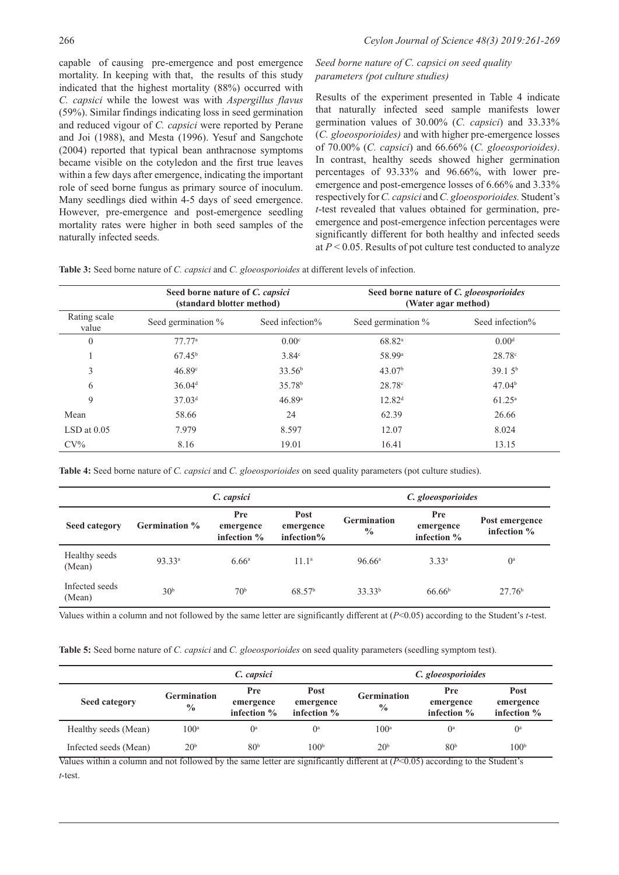capable of causing pre-emergence and post emergence mortality. In keeping with that, the results of this study indicated that the highest mortality (88%) occurred with *C. capsici* while the lowest was with *Aspergillus flavus* (59%). Similar findings indicating loss in seed germination and reduced vigour of *C. capsici* were reported by Perane and Joi (1988), and Mesta (1996). Yesuf and Sangchote (2004) reported that typical bean anthracnose symptoms became visible on the cotyledon and the first true leaves within a few days after emergence, indicating the important role of seed borne fungus as primary source of inoculum. Many seedlings died within 4-5 days of seed emergence. However, pre-emergence and post-emergence seedling mortality rates were higher in both seed samples of the naturally infected seeds.

# *Seed borne nature of C. capsici on seed quality parameters (pot culture studies)*

Results of the experiment presented in Table 4 indicate that naturally infected seed sample manifests lower germination values of 30.00% (*C. capsici*) and 33.33% (*C. gloeosporioides)* and with higher pre-emergence losses of 70.00% (*C. capsici*) and 66.66% (*C. gloeosporioides)*. In contrast, healthy seeds showed higher germination percentages of 93.33% and 96.66%, with lower preemergence and post-emergence losses of 6.66% and 3.33% respectively for *C. capsici* and *C. gloeosporioides.* Student's *t*-test revealed that values obtained for germination, preemergence and post-emergence infection percentages were significantly different for both healthy and infected seeds at *P* < 0.05. Results of pot culture test conducted to analyze

**Table 3:** Seed borne nature of *C. capsici* and *C. gloeosporioides* at different levels of infection.

|                       | Seed borne nature of C. capsici<br>(standard blotter method) |                    | Seed borne nature of C. gloeosporioides<br>(Water agar method) |                    |  |
|-----------------------|--------------------------------------------------------------|--------------------|----------------------------------------------------------------|--------------------|--|
| Rating scale<br>value | Seed germination %                                           | Seed infection%    | Seed germination %                                             | Seed infection%    |  |
| $\theta$              | 77.77a                                                       | 0.00 <sup>c</sup>  | $68.82^{\circ}$                                                | 0.00 <sup>d</sup>  |  |
|                       | $67.45^{\rm b}$                                              | $3.84^\circ$       | 58.99 <sup>a</sup>                                             | 28.78c             |  |
| 3                     | 46.89 <sup>c</sup>                                           | 33.56 <sup>b</sup> | 43.07 <sup>b</sup>                                             | 39.15 <sup>b</sup> |  |
| 6                     | 36.04 <sup>d</sup>                                           | 35.78 <sup>b</sup> | $28.78^{\circ}$                                                | 47.04 <sup>b</sup> |  |
| 9                     | 37.03 <sup>d</sup>                                           | 46.89a             | 12.82 <sup>d</sup>                                             | $61.25^{\rm a}$    |  |
| Mean                  | 58.66                                                        | 24                 | 62.39                                                          | 26.66              |  |
| $LSD$ at $0.05$       | 7.979                                                        | 8.597              | 12.07                                                          | 8.024              |  |
| $CV\%$                | 8.16                                                         | 19.01              | 16.41                                                          | 13.15              |  |

**Table 4:** Seed borne nature of *C. capsici* and *C. gloeosporioides* on seed quality parameters (pot culture studies).

|                          |                    | C. capsici                             |                                    | C. gloeosporioides                  |                                          |                                 |  |
|--------------------------|--------------------|----------------------------------------|------------------------------------|-------------------------------------|------------------------------------------|---------------------------------|--|
| Seed category            | Germination %      | <b>Pre</b><br>emergence<br>infection % | Post<br>emergence<br>infection $%$ | <b>Germination</b><br>$\frac{0}{0}$ | <b>Pre</b><br>emergence<br>infection $%$ | Post emergence<br>infection $%$ |  |
| Healthy seeds<br>(Mean)  | 93.33 <sup>a</sup> | 6.66 <sup>a</sup>                      | 11.1 <sup>a</sup>                  | 96.66 <sup>a</sup>                  | $3.33^{a}$                               | $0^{\mathrm{a}}$                |  |
| Infected seeds<br>(Mean) | 30 <sup>b</sup>    | 70 <sup>b</sup>                        | 68.57 <sup>b</sup>                 | 33.33 <sup>b</sup>                  | 66.66 <sup>b</sup>                       | 27.76 <sup>b</sup>              |  |

Values within a column and not followed by the same letter are significantly different at (*P*<0.05) according to the Student's *t*-test.

**Table 5:** Seed borne nature of *C. capsici* and *C. gloeosporioides* on seed quality parameters (seedling symptom test).

|                       | C. capsici                          |                                    |                                    | C. gloeosporioides                  |                                 |                                    |
|-----------------------|-------------------------------------|------------------------------------|------------------------------------|-------------------------------------|---------------------------------|------------------------------------|
| Seed category         | <b>Germination</b><br>$\frac{0}{0}$ | Pre<br>emergence<br>infection $\%$ | Post<br>emergence<br>infection $%$ | <b>Germination</b><br>$\frac{0}{0}$ | Pre<br>emergence<br>infection % | Post<br>emergence<br>infection $%$ |
| Healthy seeds (Mean)  | 100 <sup>a</sup>                    | $\mathbf{O}^{\text{a}}$            | $\mathbf{0}^{\text{a}}$            | 100 <sup>a</sup>                    | $\mathbf{0}^{\text{a}}$         | $\mathbf{0}^{\text{a}}$            |
| Infected seeds (Mean) | 20 <sup>b</sup>                     | 80 <sup>b</sup>                    | 100 <sup>b</sup>                   | 20 <sup>b</sup>                     | 80 <sup>b</sup>                 | 100 <sup>b</sup>                   |

Values within a column and not followed by the same letter are significantly different at (*P*<0.05) according to the Student's *t*-test.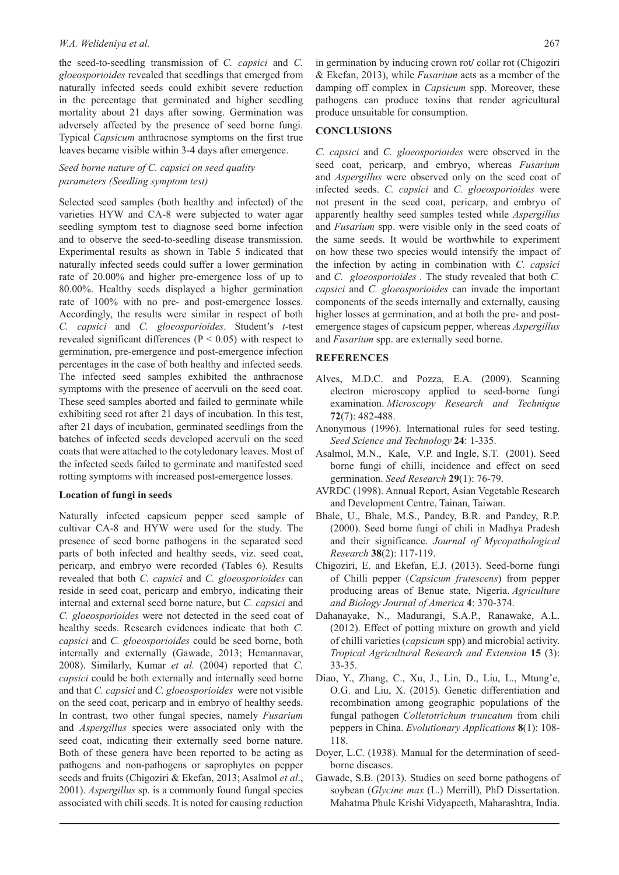#### *W.A. Welideniya et al.* 267

the seed-to-seedling transmission of *C. capsici* and *C. gloeosporioides* revealed that seedlings that emerged from naturally infected seeds could exhibit severe reduction in the percentage that germinated and higher seedling mortality about 21 days after sowing. Germination was adversely affected by the presence of seed borne fungi. Typical *Capsicum* anthracnose symptoms on the first true leaves became visible within 3-4 days after emergence.

# *Seed borne nature of C. capsici on seed quality parameters (Seedling symptom test)*

Selected seed samples (both healthy and infected) of the varieties HYW and CA-8 were subjected to water agar seedling symptom test to diagnose seed borne infection and to observe the seed-to-seedling disease transmission. Experimental results as shown in Table 5 indicated that naturally infected seeds could suffer a lower germination rate of 20.00% and higher pre-emergence loss of up to 80.00%. Healthy seeds displayed a higher germination rate of 100% with no pre- and post-emergence losses. Accordingly, the results were similar in respect of both *C. capsici* and *C. gloeosporioides*. Student's *t*-test revealed significant differences ( $P < 0.05$ ) with respect to germination, pre-emergence and post-emergence infection percentages in the case of both healthy and infected seeds. The infected seed samples exhibited the anthracnose symptoms with the presence of acervuli on the seed coat. These seed samples aborted and failed to germinate while exhibiting seed rot after 21 days of incubation. In this test, after 21 days of incubation, germinated seedlings from the batches of infected seeds developed acervuli on the seed coats that were attached to the cotyledonary leaves. Most of the infected seeds failed to germinate and manifested seed rotting symptoms with increased post-emergence losses.

## **Location of fungi in seeds**

Naturally infected capsicum pepper seed sample of cultivar CA-8 and HYW were used for the study. The presence of seed borne pathogens in the separated seed parts of both infected and healthy seeds, viz. seed coat, pericarp, and embryo were recorded (Tables 6). Results revealed that both *C. capsici* and *C. gloeosporioides* can reside in seed coat, pericarp and embryo, indicating their internal and external seed borne nature, but *C. capsici* and *C. gloeosporioides* were not detected in the seed coat of healthy seeds. Research evidences indicate that both *C. capsici* and *C. gloeosporioides* could be seed borne, both internally and externally (Gawade, 2013; Hemannavar, 2008). Similarly, Kumar *et al.* (2004) reported that *C. capsici* could be both externally and internally seed borne and that *C. capsici* and *C. gloeosporioides* were not visible on the seed coat, pericarp and in embryo of healthy seeds. In contrast, two other fungal species, namely *Fusarium* and *Aspergillus* species were associated only with the seed coat, indicating their externally seed borne nature. Both of these genera have been reported to be acting as pathogens and non-pathogens or saprophytes on pepper seeds and fruits (Chigoziri & Ekefan, 2013; Asalmol *et al*., 2001). *Aspergillus* sp. is a commonly found fungal species associated with chili seeds. It is noted for causing reduction

in germination by inducing crown rot**/** collar rot (Chigoziri & Ekefan, 2013), while *Fusarium* acts as a member of the damping off complex in *Capsicum* spp. Moreover, these pathogens can produce toxins that render agricultural produce unsuitable for consumption.

# **CONCLUSIONS**

*C. capsici* and *C. gloeosporioides* were observed in the seed coat, pericarp, and embryo, whereas *Fusarium*  and *Aspergillus* were observed only on the seed coat of infected seeds. *C. capsici* and *C. gloeosporioides* were not present in the seed coat, pericarp, and embryo of apparently healthy seed samples tested while *Aspergillus* and *Fusarium* spp. were visible only in the seed coats of the same seeds. It would be worthwhile to experiment on how these two species would intensify the impact of the infection by acting in combination with *C. capsici* and *C. gloeosporioides .* The study revealed that both *C. capsici* and *C. gloeosporioides* can invade the important components of the seeds internally and externally, causing higher losses at germination, and at both the pre- and postemergence stages of capsicum pepper, whereas *Aspergillus* and *Fusarium* spp. are externally seed borne.

#### **REFERENCES**

- Alves, M.D.C. and Pozza, E.A. (2009). Scanning electron microscopy applied to seed‐borne fungi examination. *Microscopy Research and Technique* **72**(7): 482-488.
- Anonymous (1996). International rules for seed testing. *Seed Science and Technology* **24**: 1-335.
- Asalmol, M.N., Kale, V.P. and Ingle, S.T. (2001). Seed borne fungi of chilli, incidence and effect on seed germination. *Seed Research* **29**(1): 76-79.
- AVRDC (1998). Annual Report, Asian Vegetable Research and Development Centre, Tainan, Taiwan.
- Bhale, U., Bhale, M.S., Pandey, B.R. and Pandey, R.P. (2000). Seed borne fungi of chili in Madhya Pradesh and their significance. *Journal of Mycopathological Research* **38**(2): 117-119.
- Chigoziri, E. and Ekefan, E.J. (2013). Seed-borne fungi of Chilli pepper (*Capsicum frutescens*) from pepper producing areas of Benue state, Nigeria. *Agriculture and Biology Journal of America* **4**: 370-374.
- Dahanayake, N., Madurangi, S.A.P., Ranawake, A.L. (2012). Effect of potting mixture on growth and yield of chilli varieties (*capsicum* spp) and microbial activity. *Tropical Agricultural Research and Extension* **15** (3): 33-35.
- Diao, Y., Zhang, C., Xu, J., Lin, D., Liu, L., Mtung'e, O.G. and Liu, X. (2015). Genetic differentiation and recombination among geographic populations of the fungal pathogen *Colletotrichum truncatum* from chili peppers in China. *Evolutionary Applications* **8**(1): 108- 118.
- Doyer, L.C. (1938). Manual for the determination of seedborne diseases.
- Gawade, S.B. (2013). Studies on seed borne pathogens of soybean (*Glycine max* (L.) Merrill), PhD Dissertation. Mahatma Phule Krishi Vidyapeeth, Maharashtra, India.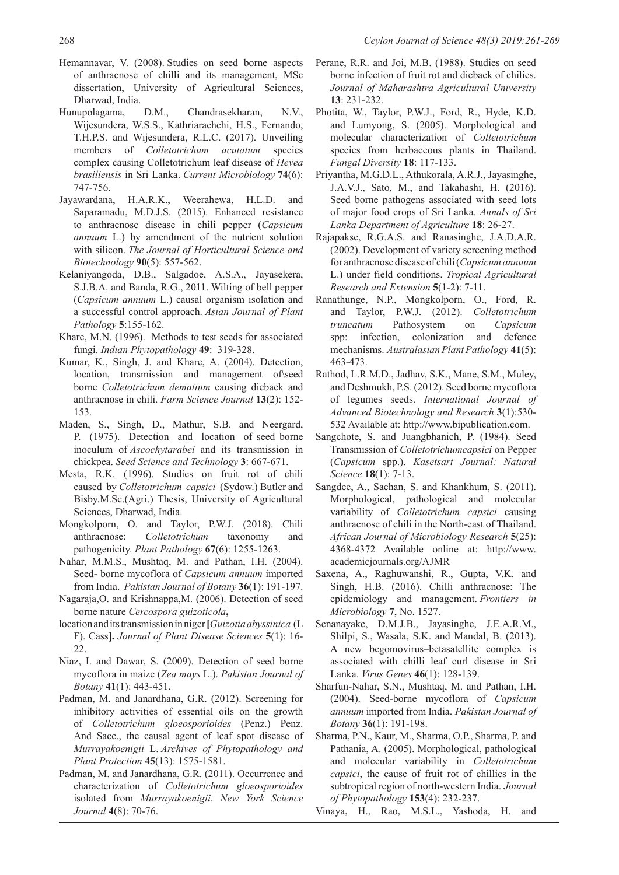- Hemannavar, V. (2008). Studies on seed borne aspects of anthracnose of chilli and its management, MSc dissertation, University of Agricultural Sciences, Dharwad, India.
- Hunupolagama, D.M., Chandrasekharan, N.V., Wijesundera, W.S.S., Kathriarachchi, H.S., Fernando, T.H.P.S. and Wijesundera, R.L.C. (2017). Unveiling members of *Colletotrichum acutatum* species complex causing Colletotrichum leaf disease of *Hevea brasiliensis* in Sri Lanka. *Current Microbiology* **74**(6): 747-756.
- Jayawardana, H.A.R.K., Weerahewa, H.L.D. and Saparamadu, M.D.J.S. (2015). Enhanced resistance to anthracnose disease in chili pepper (*Capsicum annuum* L.) by amendment of the nutrient solution with silicon. *The Journal of Horticultural Science and Biotechnology* **90**(5): 557-562.
- Kelaniyangoda, D.B., Salgadoe, A.S.A., Jayasekera, S.J.B.A. and Banda, R.G., 2011. Wilting of bell pepper (*Capsicum annuum* L.) causal organism isolation and a successful control approach. *Asian Journal of Plant Pathology* **5**:155-162.
- Khare, M.N. (1996). Methods to test seeds for associated fungi. *Indian Phytopathology* **49**: 319-328.
- Kumar, K., Singh, J. and Khare, A. (2004). Detection, location, transmission and management of\seed borne *Colletotrichum dematium* causing dieback and anthracnose in chili. *Farm Science Journal* **13**(2): 152- 153.
- Maden, S., Singh, D., Mathur, S.B. and Neergard, P. (1975). Detection and location of seed borne inoculum of *Ascochytarabei* and its transmission in chickpea. *Seed Science and Technology* **3**: 667-671.
- Mesta, R.K. (1996). Studies on fruit rot of chili caused by *Colletotrichum capsici*(Sydow.) Butler and Bisby.M.Sc.(Agri.) Thesis, University of Agricultural Sciences, Dharwad, India.
- Mongkolporn, O. and Taylor, P.W.J. (2018). Chili anthracnose: *Colletotrichum* taxonomy and pathogenicity. *Plant Pathology* **67**(6): 1255-1263.
- Nahar, M.M.S., Mushtaq, M. and Pathan, I.H. (2004). Seed- borne mycoflora of *Capsicum annuum* imported from India. *Pakistan Journal of Botany* **36**(1): 191-197.
- Nagaraja,O. and Krishnappa,M. (2006). Detection of seed borne nature *Cercospora guizoticola***,**
- location and its transmission in niger **[***Guizotia abyssinica* (L F). Cass]**.** *Journal of Plant Disease Sciences* **5**(1): 16- 22.
- Niaz, I. and Dawar, S. (2009). Detection of seed borne mycoflora in maize (*Zea mays* L.). *Pakistan Journal of Botany* **41**(1): 443-451.
- Padman, M. and Janardhana, G.R. (2012). Screening for inhibitory activities of essential oils on the growth of *Colletotrichum gloeosporioides* (Penz.) Penz. And Sacc., the causal agent of leaf spot disease of *Murrayakoenigii* L. *Archives of Phytopathology and Plant Protection* **45**(13): 1575-1581.
- Padman, M. and Janardhana, G.R. (2011). Occurrence and characterization of *Colletotrichum gloeosporioides*  isolated from *Murrayakoenigii. New York Science Journal* **4**(8): 70-76.
- Perane, R.R. and Joi, M.B. (1988). Studies on seed borne infection of fruit rot and dieback of chilies. *Journal of Maharashtra Agricultural University*  **13**: 231-232.
- Photita, W., Taylor, P.W.J., Ford, R., Hyde, K.D. and Lumyong, S. (2005). Morphological and molecular characterization of *Colletotrichum* species from herbaceous plants in Thailand. *Fungal Diversity* **18**: 117-133.
- Priyantha, M.G.D.L., Athukorala, A.R.J., Jayasinghe, J.A.V.J., Sato, M., and Takahashi, H. (2016). Seed borne pathogens associated with seed lots of major food crops of Sri Lanka. *Annals of Sri Lanka Department of Agriculture* **18**: 26-27.
- Rajapakse, R.G.A.S. and Ranasinghe, J.A.D.A.R. (2002). Development of variety screening method for anthracnose disease of chili (*Capsicum annuum* L.) under field conditions. *Tropical Agricultural Research and Extension* **5**(1-2): 7-11.
- Ranathunge, N.P., Mongkolporn, O., Ford, R. and Taylor, P.W.J. (2012). *Colletotrichum truncatum* Pathosystem on *Capsicum* spp: infection, colonization and defence mechanisms. *Australasian Plant Pathology* **41**(5): 463-473.
- Rathod, L.R.M.D., Jadhav, S.K., Mane, S.M., Muley, and Deshmukh, P.S. (2012). Seed borne mycoflora of legumes seeds. *International Journal of Advanced Biotechnology and Research* **3**(1):530- 532 Available at: http://www.bipublication.com.
- Sangchote, S. and Juangbhanich, P. (1984). Seed Transmission of *Colletotrichumcapsici* on Pepper (*Capsicum* spp.). *Kasetsart Journal: Natural Science* **18**(1): 7-13.
- Sangdee, A., Sachan, S. and Khankhum, S. (2011). Morphological, pathological and molecular variability of *Colletotrichum capsici* causing anthracnose of chili in the North-east of Thailand. *African Journal of Microbiology Research* **5**(25): 4368-4372 Available online at: http://www. academicjournals.org/AJMR
- Saxena, A., Raghuwanshi, R., Gupta, V.K. and Singh, H.B. (2016). Chilli anthracnose: The epidemiology and management. *Frontiers in Microbiology* **7**, No. 1527.
- Senanayake, D.M.J.B., Jayasinghe, J.E.A.R.M., Shilpi, S., Wasala, S.K. and Mandal, B. (2013). A new begomovirus–betasatellite complex is associated with chilli leaf curl disease in Sri Lanka. *Virus Genes* **46**(1): 128-139.
- Sharfun-Nahar, S.N., Mushtaq, M. and Pathan, I.H. (2004). Seed-borne mycoflora of *Capsicum annuum* imported from India. *Pakistan Journal of Botany* **36**(1): 191-198.
- Sharma, P.N., Kaur, M., Sharma, O.P., Sharma, P. and Pathania, A. (2005). Morphological, pathological and molecular variability in *Colletotrichum capsici*, the cause of fruit rot of chillies in the subtropical region of north‐western India. *Journal of Phytopathology* **153**(4): 232-237.
- Vinaya, H., Rao, M.S.L., Yashoda, H. and